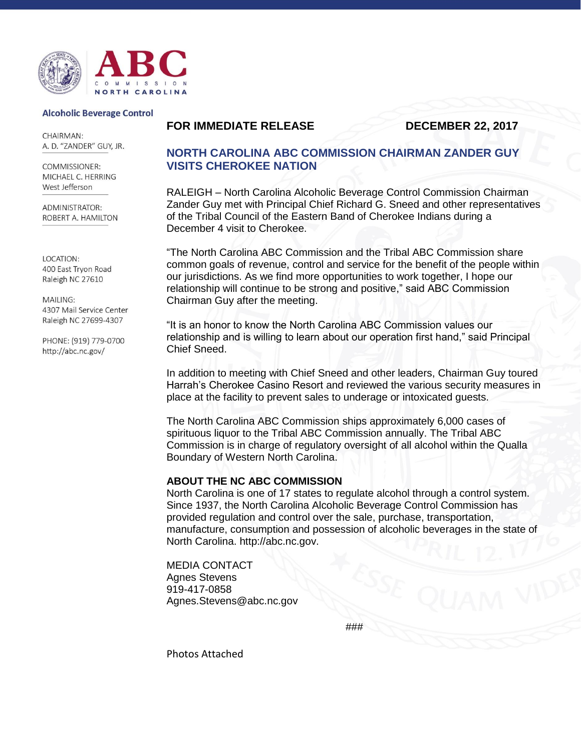

#### **Alcoholic Beverage Control**

**CHAIRMAN:** A. D. "ZANDER" GUY, JR.

COMMISSIONER: MICHAEL C. HERRING West Jefferson

**ADMINISTRATOR:** ROBERT A. HAMILTON

LOCATION: 400 East Tryon Road Raleigh NC 27610

MAILING: 4307 Mail Service Center Raleigh NC 27699-4307

PHONE: (919) 779-0700 http://abc.nc.gov/

### **FOR IMMEDIATE RELEASE DECEMBER 22, 2017**

# **NORTH CAROLINA ABC COMMISSION CHAIRMAN ZANDER GUY VISITS CHEROKEE NATION**

RALEIGH – North Carolina Alcoholic Beverage Control Commission Chairman Zander Guy met with Principal Chief Richard G. Sneed and other representatives of the Tribal Council of the Eastern Band of Cherokee Indians during a December 4 visit to Cherokee.

"The North Carolina ABC Commission and the Tribal ABC Commission share common goals of revenue, control and service for the benefit of the people within our jurisdictions. As we find more opportunities to work together, I hope our relationship will continue to be strong and positive," said ABC Commission Chairman Guy after the meeting.

"It is an honor to know the North Carolina ABC Commission values our relationship and is willing to learn about our operation first hand," said Principal Chief Sneed.

In addition to meeting with Chief Sneed and other leaders, Chairman Guy toured Harrah's Cherokee Casino Resort and reviewed the various security measures in place at the facility to prevent sales to underage or intoxicated guests.

The North Carolina ABC Commission ships approximately 6,000 cases of spirituous liquor to the Tribal ABC Commission annually. The Tribal ABC Commission is in charge of regulatory oversight of all alcohol within the Qualla Boundary of Western North Carolina.

#### **ABOUT THE NC ABC COMMISSION**

North Carolina is one of 17 states to regulate alcohol through a control system. Since 1937, the North Carolina Alcoholic Beverage Control Commission has provided regulation and control over the sale, purchase, transportation, manufacture, consumption and possession of alcoholic beverages in the state of North Carolina. http://abc.nc.gov.

MEDIA CONTACT Agnes Stevens 919-417-0858 Agnes.Stevens@abc.nc.gov

###

Photos Attached